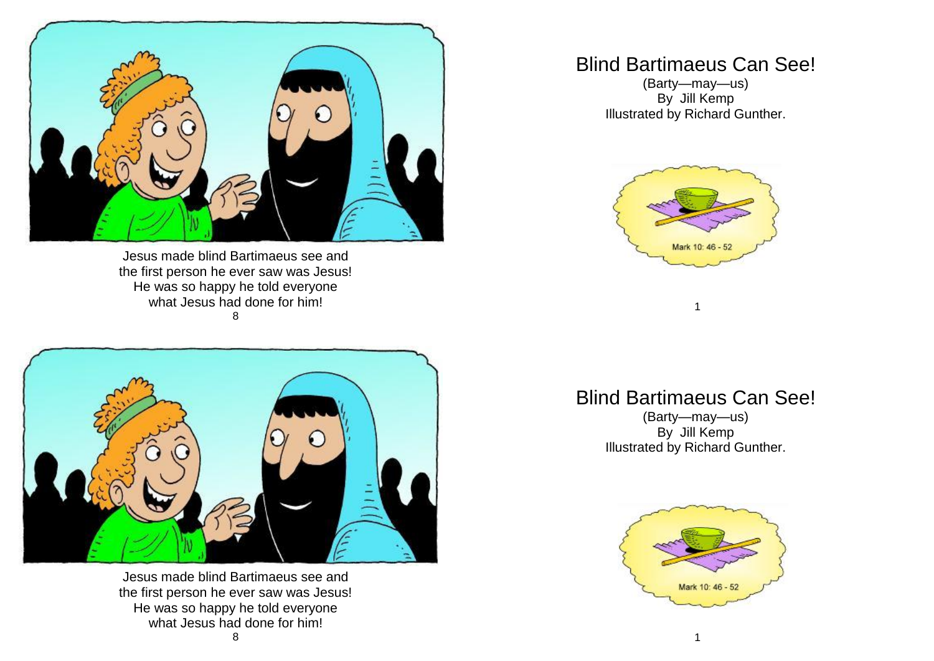

Jesus made blind Bartimaeus see and the first person he ever saw was Jesus! He was so happy he told everyone what Jesus had done for him! 8



Jesus made blind Bartimaeus see and the first person he ever saw was Jesus! He was so happy he told everyone what Jesus had done for him!

## Blind Bartimaeus Can See!

(Barty—may—us) By Jill Kemp Illustrated by Richard Gunther.



## Blind Bartimaeus Can See!

1

(Barty—may—us) By Jill Kemp Illustrated by Richard Gunther.

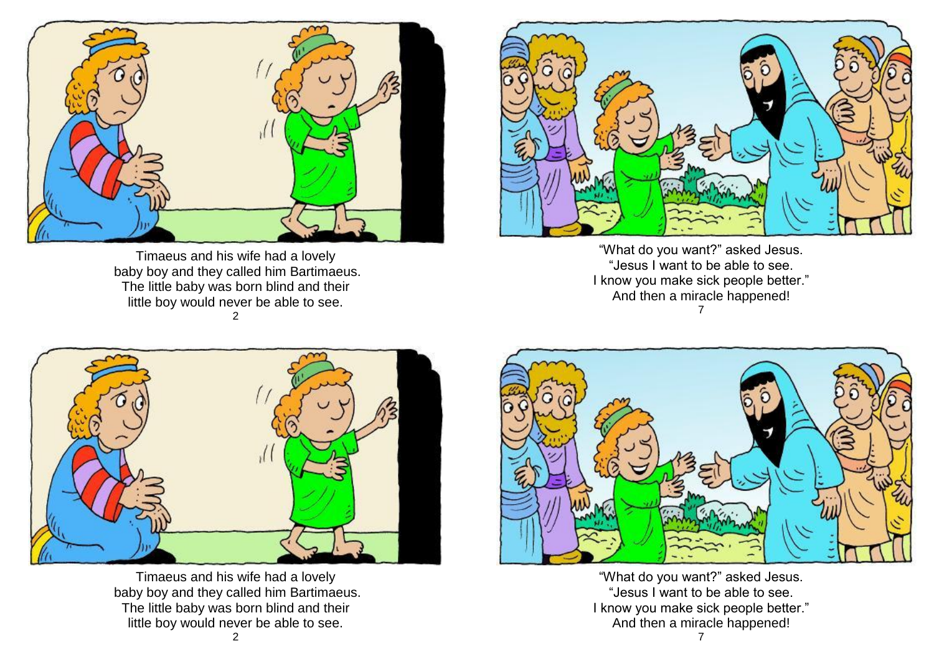

Timaeus and his wife had a lovely baby boy and they called him Bartimaeus. The little baby was born blind and their little boy would never be able to see. 2



"What do you want?" asked Jesus. "Jesus I want to be able to see. I know you make sick people better." And then a miracle happened! 7



Timaeus and his wife had a lovely baby boy and they called him Bartimaeus. The little baby was born blind and their little boy would never be able to see.



"What do you want?" asked Jesus. "Jesus I want to be able to see. I know you make sick people better." And then a miracle happened!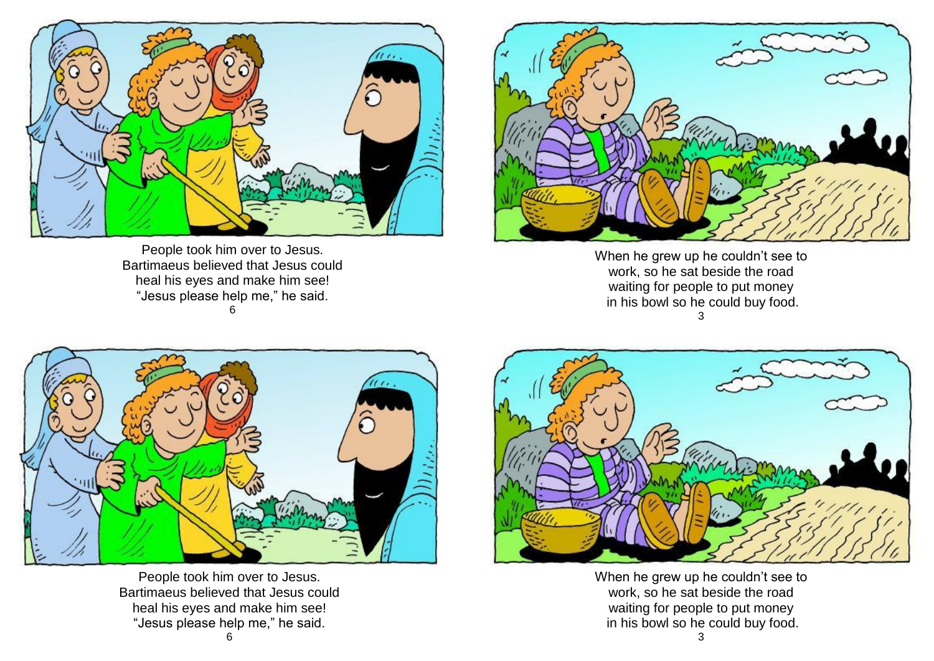

People took him over to Jesus. Bartimaeus believed that Jesus could heal his eyes and make him see! "Jesus please help me," he said. 6



When he grew up he couldn't see to work, so he sat beside the road waiting for people to put money in his bowl so he could buy food. 3



People took him over to Jesus. Bartimaeus believed that Jesus could heal his eyes and make him see! "Jesus please help me," he said.



When he grew up he couldn't see to work, so he sat beside the road waiting for people to put money in his bowl so he could buy food.